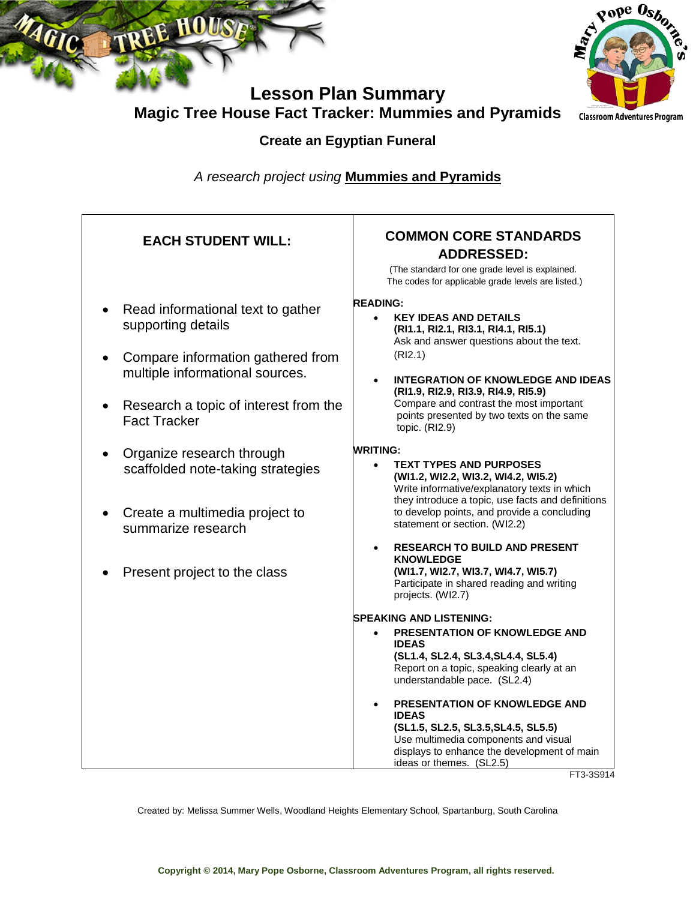



**Lesson Plan Summary Magic Tree House Fact Tracker: Mummies and Pyramids**

**Create an Egyptian Funeral**

*A research project using* **Mummies and Pyramids**

| <b>EACH STUDENT WILL:</b>                                                                                                                                                                                    | <b>COMMON CORE STANDARDS</b><br><b>ADDRESSED:</b><br>(The standard for one grade level is explained.<br>The codes for applicable grade levels are listed.)                                                                                                                                                                                                                                                                                                      |
|--------------------------------------------------------------------------------------------------------------------------------------------------------------------------------------------------------------|-----------------------------------------------------------------------------------------------------------------------------------------------------------------------------------------------------------------------------------------------------------------------------------------------------------------------------------------------------------------------------------------------------------------------------------------------------------------|
| Read informational text to gather<br>supporting details<br>Compare information gathered from<br>multiple informational sources.<br>Research a topic of interest from the<br>$\bullet$<br><b>Fact Tracker</b> | <b>READING:</b><br><b>KEY IDEAS AND DETAILS</b><br>$\bullet$<br>(RI1.1, RI2.1, RI3.1, RI4.1, RI5.1)<br>Ask and answer questions about the text.<br>(RI2.1)<br><b>INTEGRATION OF KNOWLEDGE AND IDEAS</b><br>(RI1.9, RI2.9, RI3.9, RI4.9, RI5.9)<br>Compare and contrast the most important<br>points presented by two texts on the same<br>topic. (RI2.9)                                                                                                        |
| Organize research through<br>scaffolded note-taking strategies<br>Create a multimedia project to<br>summarize research<br>Present project to the class                                                       | <b>WRITING:</b><br><b>TEXT TYPES AND PURPOSES</b><br>$\bullet$<br>(WI1.2, WI2.2, WI3.2, WI4.2, WI5.2)<br>Write informative/explanatory texts in which<br>they introduce a topic, use facts and definitions<br>to develop points, and provide a concluding<br>statement or section. (WI2.2)<br><b>RESEARCH TO BUILD AND PRESENT</b><br><b>KNOWLEDGE</b><br>(WI1.7, WI2.7, WI3.7, WI4.7, WI5.7)<br>Participate in shared reading and writing<br>projects. (WI2.7) |
|                                                                                                                                                                                                              | <b>SPEAKING AND LISTENING:</b><br>PRESENTATION OF KNOWLEDGE AND<br>$\bullet$<br><b>IDEAS</b><br>(SL1.4, SL2.4, SL3.4, SL4.4, SL5.4)<br>Report on a topic, speaking clearly at an<br>understandable pace. (SL2.4)<br><b>PRESENTATION OF KNOWLEDGE AND</b><br><b>IDEAS</b><br>(SL1.5, SL2.5, SL3.5, SL4.5, SL5.5)<br>Use multimedia components and visual<br>displays to enhance the development of main<br>ideas or themes. (SL2.5)<br>ET2 2CO14                 |

FT3-3S914

Created by: Melissa Summer Wells, Woodland Heights Elementary School, Spartanburg, South Carolina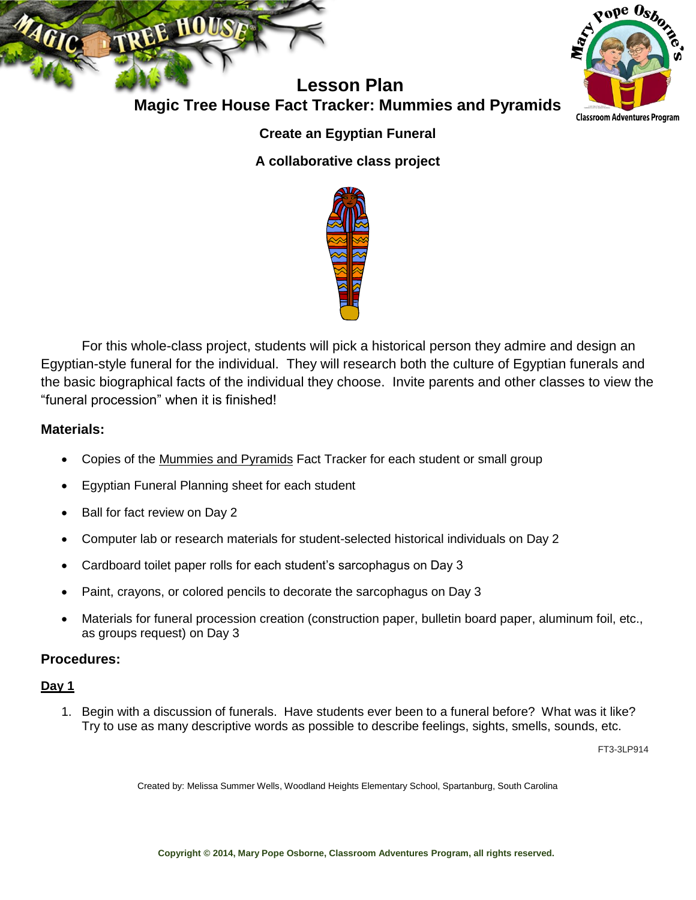

**Magic Tree House Fact Tracker: Mummies and Pyramids Classroom Adventures Program** 

pope Osb<sub>o</sub>

## **Create an Egyptian Funeral**

**A collaborative class project**



For this whole-class project, students will pick a historical person they admire and design an Egyptian-style funeral for the individual. They will research both the culture of Egyptian funerals and the basic biographical facts of the individual they choose. Invite parents and other classes to view the "funeral procession" when it is finished!

#### **Materials:**

- Copies of the Mummies and Pyramids Fact Tracker for each student or small group
- Egyptian Funeral Planning sheet for each student
- Ball for fact review on Day 2
- Computer lab or research materials for student-selected historical individuals on Day 2
- Cardboard toilet paper rolls for each student's sarcophagus on Day 3
- Paint, crayons, or colored pencils to decorate the sarcophagus on Day 3
- Materials for funeral procession creation (construction paper, bulletin board paper, aluminum foil, etc., as groups request) on Day 3

## **Procedures:**

#### **Day 1**

1. Begin with a discussion of funerals. Have students ever been to a funeral before? What was it like? Try to use as many descriptive words as possible to describe feelings, sights, smells, sounds, etc.

FT3-3LP914

Created by: Melissa Summer Wells, Woodland Heights Elementary School, Spartanburg, South Carolina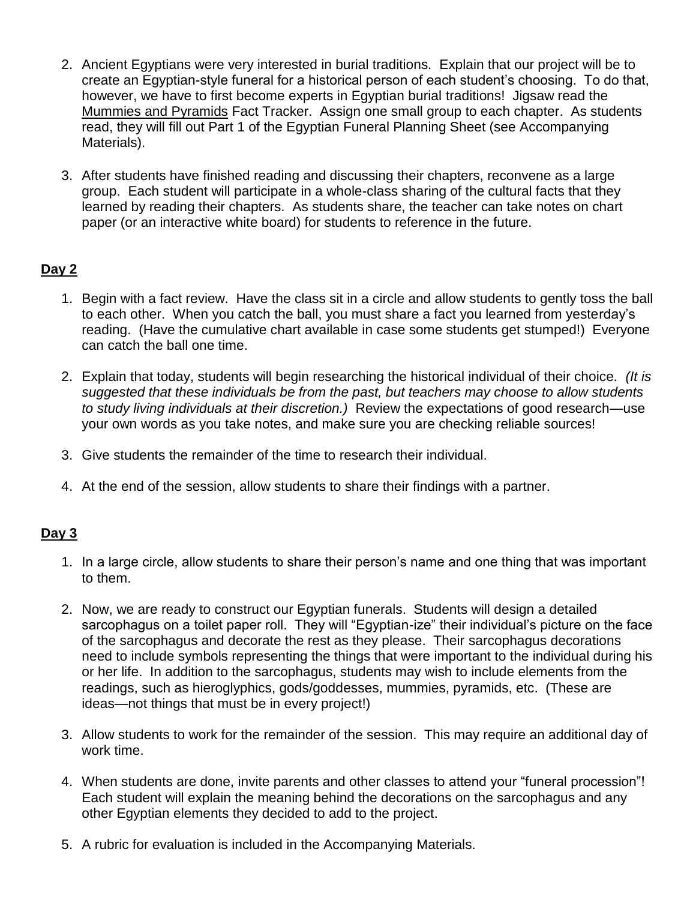- 2. Ancient Egyptians were very interested in burial traditions. Explain that our project will be to create an Egyptian-style funeral for a historical person of each student's choosing. To do that, however, we have to first become experts in Egyptian burial traditions! Jigsaw read the Mummies and Pyramids Fact Tracker. Assign one small group to each chapter. As students read, they will fill out Part 1 of the Egyptian Funeral Planning Sheet (see Accompanying Materials).
- 3. After students have finished reading and discussing their chapters, reconvene as a large group. Each student will participate in a whole-class sharing of the cultural facts that they learned by reading their chapters. As students share, the teacher can take notes on chart paper (or an interactive white board) for students to reference in the future.

# **Day 2**

- 1. Begin with a fact review. Have the class sit in a circle and allow students to gently toss the ball to each other. When you catch the ball, you must share a fact you learned from yesterday's reading. (Have the cumulative chart available in case some students get stumped!) Everyone can catch the ball one time.
- 2. Explain that today, students will begin researching the historical individual of their choice. *(It is suggested that these individuals be from the past, but teachers may choose to allow students to study living individuals at their discretion.)* Review the expectations of good research—use your own words as you take notes, and make sure you are checking reliable sources!
- 3. Give students the remainder of the time to research their individual.
- 4. At the end of the session, allow students to share their findings with a partner.

## **Day 3**

- 1. In a large circle, allow students to share their person's name and one thing that was important to them.
- 2. Now, we are ready to construct our Egyptian funerals. Students will design a detailed sarcophagus on a toilet paper roll. They will "Egyptian-ize" their individual's picture on the face of the sarcophagus and decorate the rest as they please. Their sarcophagus decorations need to include symbols representing the things that were important to the individual during his or her life. In addition to the sarcophagus, students may wish to include elements from the readings, such as hieroglyphics, gods/goddesses, mummies, pyramids, etc. (These are ideas—not things that must be in every project!)
- 3. Allow students to work for the remainder of the session. This may require an additional day of work time.
- 4. When students are done, invite parents and other classes to attend your "funeral procession"! Each student will explain the meaning behind the decorations on the sarcophagus and any other Egyptian elements they decided to add to the project.
- 5. A rubric for evaluation is included in the Accompanying Materials.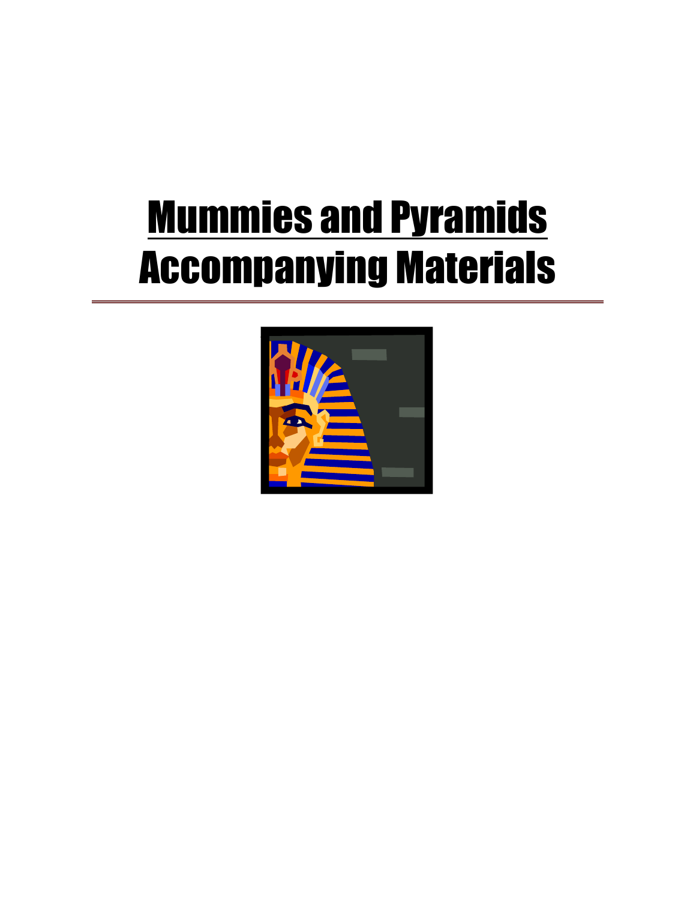# **Mummies and Pyramids** Accompanying Materials

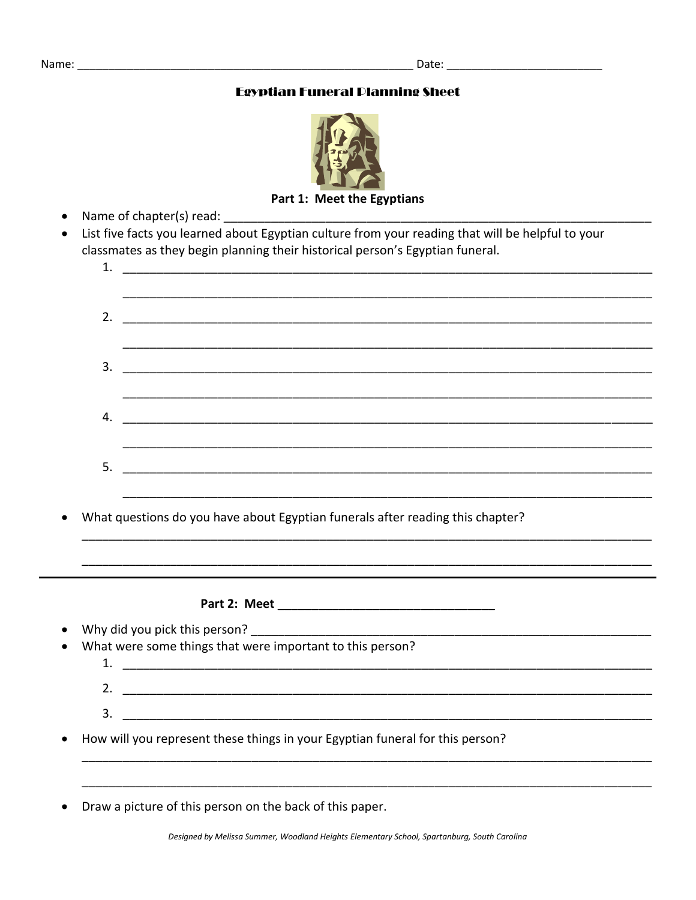#### **Egyptian Funeral Dianning Sheet**



Part 1: Meet the Egyptians

- Name of chapter(s) read: \_\_\_\_\_
- List five facts you learned about Egyptian culture from your reading that will be helpful to your classmates as they begin planning their historical person's Egyptian funeral.

| 1.                                                                            |                                                                                                                                                                                                                               |  |  |  |
|-------------------------------------------------------------------------------|-------------------------------------------------------------------------------------------------------------------------------------------------------------------------------------------------------------------------------|--|--|--|
|                                                                               |                                                                                                                                                                                                                               |  |  |  |
| 2.                                                                            |                                                                                                                                                                                                                               |  |  |  |
|                                                                               |                                                                                                                                                                                                                               |  |  |  |
| 3.                                                                            |                                                                                                                                                                                                                               |  |  |  |
|                                                                               |                                                                                                                                                                                                                               |  |  |  |
| 4.                                                                            |                                                                                                                                                                                                                               |  |  |  |
|                                                                               |                                                                                                                                                                                                                               |  |  |  |
| 5.                                                                            |                                                                                                                                                                                                                               |  |  |  |
|                                                                               |                                                                                                                                                                                                                               |  |  |  |
|                                                                               | What questions do you have about Egyptian funerals after reading this chapter?                                                                                                                                                |  |  |  |
|                                                                               |                                                                                                                                                                                                                               |  |  |  |
|                                                                               |                                                                                                                                                                                                                               |  |  |  |
|                                                                               |                                                                                                                                                                                                                               |  |  |  |
|                                                                               |                                                                                                                                                                                                                               |  |  |  |
|                                                                               | Why did you pick this person? The same of the same of the same of the same of the same of the same of the same of the same of the same of the same of the same of the same of the same of the same of the same of the same of |  |  |  |
|                                                                               | What were some things that were important to this person?                                                                                                                                                                     |  |  |  |
|                                                                               |                                                                                                                                                                                                                               |  |  |  |
| 3.                                                                            |                                                                                                                                                                                                                               |  |  |  |
| How will you represent these things in your Egyptian funeral for this person? |                                                                                                                                                                                                                               |  |  |  |
|                                                                               |                                                                                                                                                                                                                               |  |  |  |
|                                                                               | Draw a picture of this person on the back of this paper.                                                                                                                                                                      |  |  |  |
|                                                                               |                                                                                                                                                                                                                               |  |  |  |